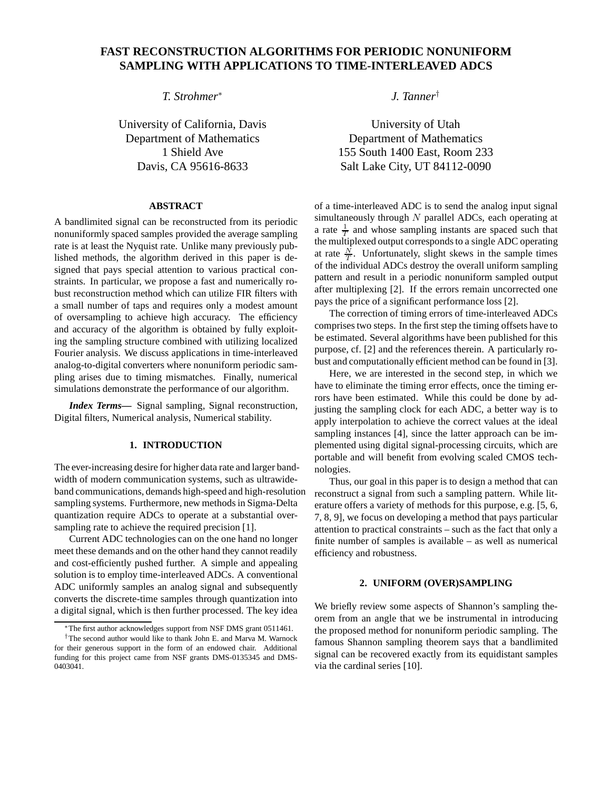# **FAST RECONSTRUCTION ALGORITHMS FOR PERIODIC NONUNIFORM SAMPLING WITH APPLICATIONS TO TIME-INTERLEAVED ADCS**

*T. Strohmer*<sup>∗</sup>

University of California, Davis Department of Mathematics 1 Shield Ave Davis, CA 95616-8633

# **ABSTRACT**

A bandlimited signal can be reconstructed from its periodic nonuniformly spaced samples provided the average sampling rate is at least the Nyquist rate. Unlike many previously published methods, the algorithm derived in this paper is designed that pays special attention to various practical constraints. In particular, we propose a fast and numerically robust reconstruction method which can utilize FIR filters with a small number of taps and requires only a modest amount of oversampling to achieve high accuracy. The efficiency and accuracy of the algorithm is obtained by fully exploiting the sampling structure combined with utilizing localized Fourier analysis. We discuss applications in time-interleaved analog-to-digital converters where nonuniform periodic sampling arises due to timing mismatches. Finally, numerical simulations demonstrate the performance of our algorithm.

*Index Terms***—** Signal sampling, Signal reconstruction, Digital filters, Numerical analysis, Numerical stability.

# **1. INTRODUCTION**

The ever-increasing desire for higher data rate and larger bandwidth of modern communication systems, such as ultrawideband communications, demands high-speed and high-resolution sampling systems. Furthermore, new methods in Sigma-Delta quantization require ADCs to operate at a substantial oversampling rate to achieve the required precision [1].

Current ADC technologies can on the one hand no longer meet these demands and on the other hand they cannot readily and cost-efficiently pushed further. A simple and appealing solution is to employ time-interleaved ADCs. A conventional ADC uniformly samples an analog signal and subsequently converts the discrete-time samples through quantization into a digital signal, which is then further processed. The key idea *J. Tanner*†

University of Utah Department of Mathematics 155 South 1400 East, Room 233 Salt Lake City, UT 84112-0090

of a time-interleaved ADC is to send the analog input signal simultaneously through  $N$  parallel ADCs, each operating at a rate  $\frac{1}{T}$  and whose sampling instants are spaced such that the multiplexed output corresponds to a single ADC operating at rate  $\frac{N}{T}$ . Unfortunately, slight skews in the sample times of the individual ADCs destroy the overall uniform sampling pattern and result in a periodic nonuniform sampled output after multiplexing [2]. If the errors remain uncorrected one pays the price of a significant performance loss [2].

The correction of timing errors of time-interleaved ADCs comprises two steps. In the first step the timing offsets have to be estimated. Several algorithms have been published for this purpose, cf. [2] and the references therein. A particularly robust and computationally efficient method can be found in [3].

Here, we are interested in the second step, in which we have to eliminate the timing error effects, once the timing errors have been estimated. While this could be done by adjusting the sampling clock for each ADC, a better way is to apply interpolation to achieve the correct values at the ideal sampling instances [4], since the latter approach can be implemented using digital signal-processing circuits, which are portable and will benefit from evolving scaled CMOS technologies.

Thus, our goal in this paper is to design a method that can reconstruct a signal from such a sampling pattern. While literature offers a variety of methods for this purpose, e.g. [5, 6, 7, 8, 9], we focus on developing a method that pays particular attention to practical constraints – such as the fact that only a finite number of samples is available – as well as numerical efficiency and robustness.

# **2. UNIFORM (OVER)SAMPLING**

We briefly review some aspects of Shannon's sampling theorem from an angle that we be instrumental in introducing the proposed method for nonuniform periodic sampling. The famous Shannon sampling theorem says that a bandlimited signal can be recovered exactly from its equidistant samples via the cardinal series [10].

<sup>∗</sup>The first author acknowledges support from NSF DMS grant 0511461.

<sup>†</sup>The second author would like to thank John E. and Marva M. Warnock for their generous support in the form of an endowed chair. Additional funding for this project came from NSF grants DMS-0135345 and DMS-0403041.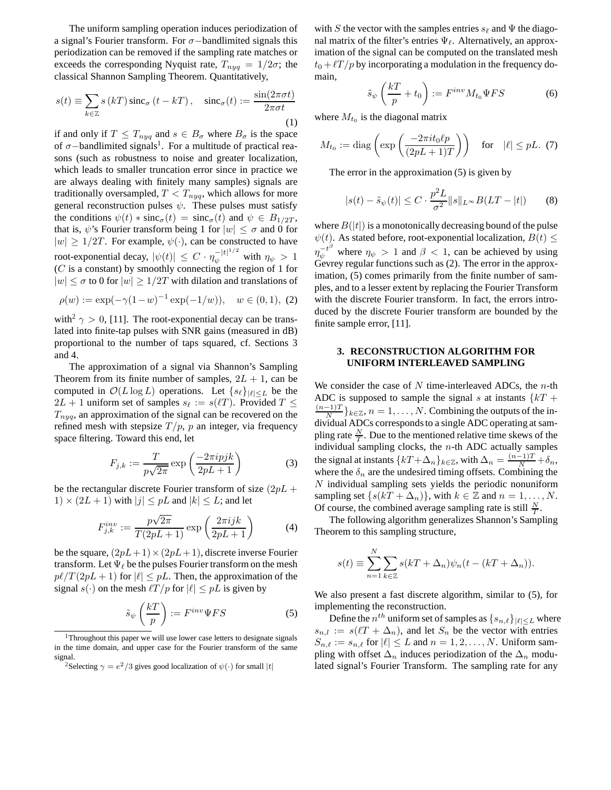The uniform sampling operation induces periodization of a signal's Fourier transform. For σ−bandlimited signals this periodization can be removed if the sampling rate matches or exceeds the corresponding Nyquist rate,  $T_{n \nu q} = 1/2\sigma$ ; the classical Shannon Sampling Theorem. Quantitatively,

$$
s(t) \equiv \sum_{k \in \mathbb{Z}} s(kT) \operatorname{sinc}_{\sigma} (t - kT), \quad \operatorname{sinc}_{\sigma} (t) := \frac{\sin(2\pi\sigma t)}{2\pi\sigma t}
$$
\n(1)

if and only if  $T \leq T_{nyq}$  and  $s \in B_{\sigma}$  where  $B_{\sigma}$  is the space of  $\sigma$ -bandlimited signals<sup>1</sup>. For a multitude of practical reasons (such as robustness to noise and greater localization, which leads to smaller truncation error since in practice we are always dealing with finitely many samples) signals are traditionally oversampled,  $T < T_{nyq},$  which allows for more general reconstruction pulses  $\psi$ . These pulses must satisfy the conditions  $\psi(t) * \operatorname{sinc}_{\sigma}(t) = \operatorname{sinc}_{\sigma}(t)$  and  $\psi \in B_{1/2T}$ , that is,  $\psi$ 's Fourier transform being 1 for  $|w| \leq \sigma$  and 0 for  $|w| \geq 1/2T$ . For example,  $\psi(\cdot)$ , can be constructed to have root-exponential decay,  $|\psi(t)| \leq C \cdot \eta_{\psi}^{-|t|^{1/2}}$  with  $\eta_{\psi} > 1$  $(C$  is a constant) by smoothly connecting the region of 1 for  $|w| \leq \sigma$  to 0 for  $|w| \geq 1/2T$  with dilation and translations of

$$
\rho(w) := \exp(-\gamma (1 - w)^{-1} \exp(-1/w)), \quad w \in (0, 1), \tag{2}
$$

with<sup>2</sup>  $\gamma > 0$ , [11]. The root-exponential decay can be translated into finite-tap pulses with SNR gains (measured in dB) proportional to the number of taps squared, cf. Sections 3 and 4.

The approximation of a signal via Shannon's Sampling Theorem from its finite number of samples,  $2L + 1$ , can be computed in  $\mathcal{O}(L \log L)$  operations. Let  $\{s_\ell\}_{|\ell| \leq L}$  be the  $2L + 1$  uniform set of samples  $s_\ell := s(\ell T)$ . Provided  $T \leq$  $T_{nya}$ , an approximation of the signal can be recovered on the refined mesh with stepsize  $T/p$ , p an integer, via frequency space filtering. Toward this end, let

$$
F_{j,k} := \frac{T}{p\sqrt{2\pi}} \exp\left(\frac{-2\pi i pjk}{2pL+1}\right) \tag{3}
$$

be the rectangular discrete Fourier transform of size  $(2pL +$  $1) \times (2L + 1)$  with  $|j| \leq pL$  and  $|k| \leq L$ ; and let

$$
F_{j,k}^{inv} := \frac{p\sqrt{2\pi}}{T(2pL+1)} \exp\left(\frac{2\pi ijk}{2pL+1}\right) \tag{4}
$$

be the square,  $(2pL+1)\times(2pL+1)$ , discrete inverse Fourier transform. Let  $\Psi_{\ell}$  be the pulses Fourier transform on the mesh  $p\ell/T(2pL+1)$  for  $|\ell| \leq pL$ . Then, the approximation of the signal  $s(\cdot)$  on the mesh  $\ell T/p$  for  $|\ell| \leq pL$  is given by

$$
\tilde{s}_{\psi}\left(\frac{kT}{p}\right) := F^{inv}\Psi FS \tag{5}
$$

with S the vector with the samples entries  $s_\ell$  and  $\Psi$  the diagonal matrix of the filter's entries  $\Psi_{\ell}$ . Alternatively, an approximation of the signal can be computed on the translated mesh  $t_0 + \ell T/p$  by incorporating a modulation in the frequency domain,

$$
\tilde{s}_{\psi}\left(\frac{kT}{p} + t_0\right) := F^{inv} M_{t_0} \Psi FS \tag{6}
$$

where  $M_{t_0}$  is the diagonal matrix

$$
M_{t_0} := \text{diag}\left(\exp\left(\frac{-2\pi i t_0 \ell p}{(2pL + 1)T}\right)\right) \quad \text{for} \quad |\ell| \leq pL. \tag{7}
$$

The error in the approximation (5) is given by

$$
|s(t) - \tilde{s}_{\psi}(t)| \le C \cdot \frac{p^2 L}{\sigma^2} ||s||_{L^{\infty}} B(LT - |t|)
$$
 (8)

where  $B(|t|)$  is a monotonically decreasing bound of the pulse  $\psi(t)$ . As stated before, root-exponential localization,  $B(t) \leq$  $\eta_{\psi}^{-t^{\beta}}$  where  $\eta_{\psi} > 1$  and  $\beta < 1$ , can be achieved by using Gevrey regular functions such as (2). The error in the approximation, (5) comes primarily from the finite number of samples, and to a lesser extent by replacing the Fourier Transform with the discrete Fourier transform. In fact, the errors introduced by the discrete Fourier transform are bounded by the finite sample error, [11].

# **3. RECONSTRUCTION ALGORITHM FOR UNIFORM INTERLEAVED SAMPLING**

We consider the case of  $N$  time-interleaved ADCs, the  $n$ -th ADC is supposed to sample the signal s at instants  $\{kT + \}$  $(n-1)T$  $\frac{-1}{N}$ } $_{k\in\mathbb{Z}}$ ,  $n=1,\ldots,N$ . Combining the outputs of the individual ADCs corresponds to a single ADC operating at sampling rate  $\frac{N}{T}$ . Due to the mentioned relative time skews of the individual sampling clocks, the  $n$ -th ADC actually samples the signal at instants  $\{kT + \Delta_n\}_{k \in \mathbb{Z}}$ , with  $\Delta_n = \frac{(n-1)T}{N} + \delta_n$ , where the  $\delta_n$  are the undesired timing offsets. Combining the N individual sampling sets yields the periodic nonuniform sampling set  $\{s(kT + \Delta_n)\}\)$ , with  $k \in \mathbb{Z}$  and  $n = 1, \ldots, N$ . Of course, the combined average sampling rate is still  $\frac{N}{T}$ .

The following algorithm generalizes Shannon's Sampling Theorem to this sampling structure,

$$
s(t) \equiv \sum_{n=1}^{N} \sum_{k \in \mathbb{Z}} s(kT + \Delta_n) \psi_n(t - (kT + \Delta_n)).
$$

We also present a fast discrete algorithm, similar to (5), for implementing the reconstruction.

Define the  $n^{th}$  uniform set of samples as  $\{s_{n,\ell}\}_{|\ell|\leq L}$  where  $s_{n,l} := s(\ell T + \Delta_n)$ , and let  $S_n$  be the vector with entries  $S_{n,\ell} := s_{n,\ell}$  for  $|\ell| \leq L$  and  $n = 1, 2, ..., N$ . Uniform sampling with offset  $\Delta_n$  induces periodization of the  $\Delta_n$  modulated signal's Fourier Transform. The sampling rate for any

<sup>&</sup>lt;sup>1</sup>Throughout this paper we will use lower case letters to designate signals in the time domain, and upper case for the Fourier transform of the same signal.

<sup>&</sup>lt;sup>2</sup>Selecting  $\gamma = e^2/3$  gives good localization of  $\psi(\cdot)$  for small  $|t|$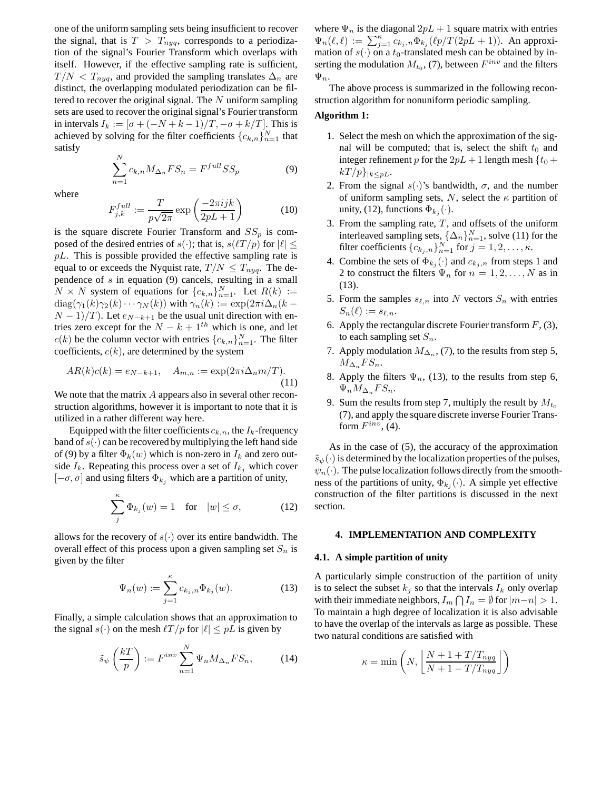one of the uniform sampling sets being insufficient to recover the signal, that is  $T > T_{nyq}$ , corresponds to a periodization of the signal's Fourier Transform which overlaps with itself. However, if the effective sampling rate is sufficient,  $T/N < T_{nyq}$ , and provided the sampling translates  $\Delta_n$  are distinct, the overlapping modulated periodization can be filtered to recover the original signal. The N uniform sampling sets are used to recover the original signal's Fourier transform in intervals  $I_k := [\sigma + (-N + k - 1)/T, -\sigma + k/T]$ . This is achieved by solving for the filter coefficients  ${c_{k,n}}_{n=1}^N$  that satisfy

$$
\sum_{n=1}^{N} c_{k,n} M_{\Delta_n} F S_n = F^{full} S S_p \tag{9}
$$

where

$$
F_{j,k}^{full} := \frac{T}{p\sqrt{2\pi}} \exp\left(\frac{-2\pi ijk}{2pL+1}\right) \tag{10}
$$

is the square discrete Fourier Transform and  $SS_p$  is composed of the desired entries of  $s(\cdot)$ ; that is,  $s(\ell T/p)$  for  $|\ell| \leq$  $pL$ . This is possible provided the effective sampling rate is equal to or exceeds the Nyquist rate,  $T/N \leq T_{nya}$ . The dependence of  $s$  in equation (9) cancels, resulting in a small  $N \times N$  system of equations for  ${c_{k,n}}_{n=1}^N$ . Let  $R(k) :=$  $diag(\gamma_1(k)\gamma_2(k)\cdots\gamma_N(k))$  with  $\gamma_n(k) := \exp(2\pi i \Delta_n(k (N-1)/T$ ). Let  $e_{N-k+1}$  be the usual unit direction with entries zero except for the  $N - k + 1$ <sup>th</sup> which is one, and let  $c(k)$  be the column vector with entries  ${c_{k,n}}_{n=1}^N$ . The filter coefficients,  $c(k)$ , are determined by the system

$$
AR(k)c(k) = e_{N-k+1}, \quad A_{m,n} := \exp(2\pi i \Delta_n m/T). \tag{11}
$$

We note that the matrix A appears also in several other reconstruction algorithms, however it is important to note that it is utilized in a rather different way here.

Equipped with the filter coefficients  $c_{k,n}$ , the  $I_k$ -frequency band of  $s(\cdot)$  can be recovered by multiplying the left hand side of (9) by a filter  $\Phi_k(w)$  which is non-zero in  $I_k$  and zero outside  $I_k$ . Repeating this process over a set of  $I_{k_i}$  which cover  $[-\sigma, \sigma]$  and using filters  $\Phi_{k_i}$  which are a partition of unity,

$$
\sum_{j}^{\kappa} \Phi_{k_j}(w) = 1 \quad \text{for} \quad |w| \le \sigma,
$$
 (12)

allows for the recovery of  $s(\cdot)$  over its entire bandwidth. The overall effect of this process upon a given sampling set  $S_n$  is given by the filter

$$
\Psi_n(w) := \sum_{j=1}^{\kappa} c_{k_j,n} \Phi_{k_j}(w). \tag{13}
$$

Finally, a simple calculation shows that an approximation to the signal  $s(\cdot)$  on the mesh  $\ell T/p$  for  $|\ell| \leq pL$  is given by

$$
\tilde{s}_{\psi}\left(\frac{kT}{p}\right) := F^{inv} \sum_{n=1}^{N} \Psi_n M_{\Delta_n} F S_n, \tag{14}
$$

where  $\Psi_n$  is the diagonal  $2pL + 1$  square matrix with entries  $\Psi_n(\ell,\ell) := \sum_{j=1}^{\kappa} c_{k_j,n} \Phi_{k_j}(\ell p/T(2pL+1)).$  An approximation of  $s(\cdot)$  on a  $t_0$ -translated mesh can be obtained by inserting the modulation  $M_{t_0}$ , (7), between  $F^{inv}$  and the filters  $\Psi_n$ .

The above process is summarized in the following reconstruction algorithm for nonuniform periodic sampling.

# **Algorithm 1:**

- 1. Select the mesh on which the approximation of the signal will be computed; that is, select the shift  $t_0$  and integer refinement p for the  $2pL + 1$  length mesh  $\{t_0 +$  $kT/p\}_{|k\leq pL}$ .
- 2. From the signal  $s(\cdot)$ 's bandwidth,  $\sigma$ , and the number of uniform sampling sets, N, select the  $\kappa$  partition of unity, (12), functions  $\Phi_{k_j}(\cdot)$ .
- 3. From the sampling rate,  $T$ , and offsets of the uniform interleaved sampling sets,  $\{\Delta_n\}_{n=1}^N$ , solve (11) for the filter coefficients  ${c_{k_j,n}}_{n=1}^N$  for  $j=1,2,\ldots,\kappa$ .
- 4. Combine the sets of  $\Phi_{k_j}(\cdot)$  and  $c_{k_j,n}$  from steps 1 and 2 to construct the filters  $\Psi_n$  for  $n = 1, 2, ..., N$  as in (13).
- 5. Form the samples  $s_{\ell,n}$  into N vectors  $S_n$  with entries  $S_n(\ell) := s_{\ell,n}.$
- 6. Apply the rectangular discrete Fourier transform  $F$ , (3), to each sampling set  $S_n$ .
- 7. Apply modulation  $M_{\Delta_n}$ , (7), to the results from step 5,  $M_{\Delta_n} FS_n$ .
- 8. Apply the filters  $\Psi_n$ , (13), to the results from step 6,  $\Psi_n M_{\Delta_n} FS_n$ .
- 9. Sum the results from step 7, multiply the result by  $M_{t_0}$ (7), and apply the square discrete inverse Fourier Transform  $F^{inv}$ , (4).

As in the case of (5), the accuracy of the approximation  $\tilde{s}_{\psi}(\cdot)$  is determined by the localization properties of the pulses,  $\psi_n(\cdot)$ . The pulse localization follows directly from the smoothness of the partitions of unity,  $\Phi_{k_j}(\cdot)$ . A simple yet effective construction of the filter partitions is discussed in the next section.

#### **4. IMPLEMENTATION AND COMPLEXITY**

### **4.1. A simple partition of unity**

A particularly simple construction of the partition of unity is to select the subset  $k_j$  so that the intervals  $I_k$  only overlap with their immediate neighbors,  $I_m \bigcap I_n = \emptyset$  for  $|m-n| > 1$ . To maintain a high degree of localization it is also advisable to have the overlap of the intervals as large as possible. These two natural conditions are satisfied with

$$
\kappa = \min\left(N, \left\lfloor \frac{N + 1 + T/T_{nyg}}{N + 1 - T/T_{nyg}} \right\rfloor\right)
$$